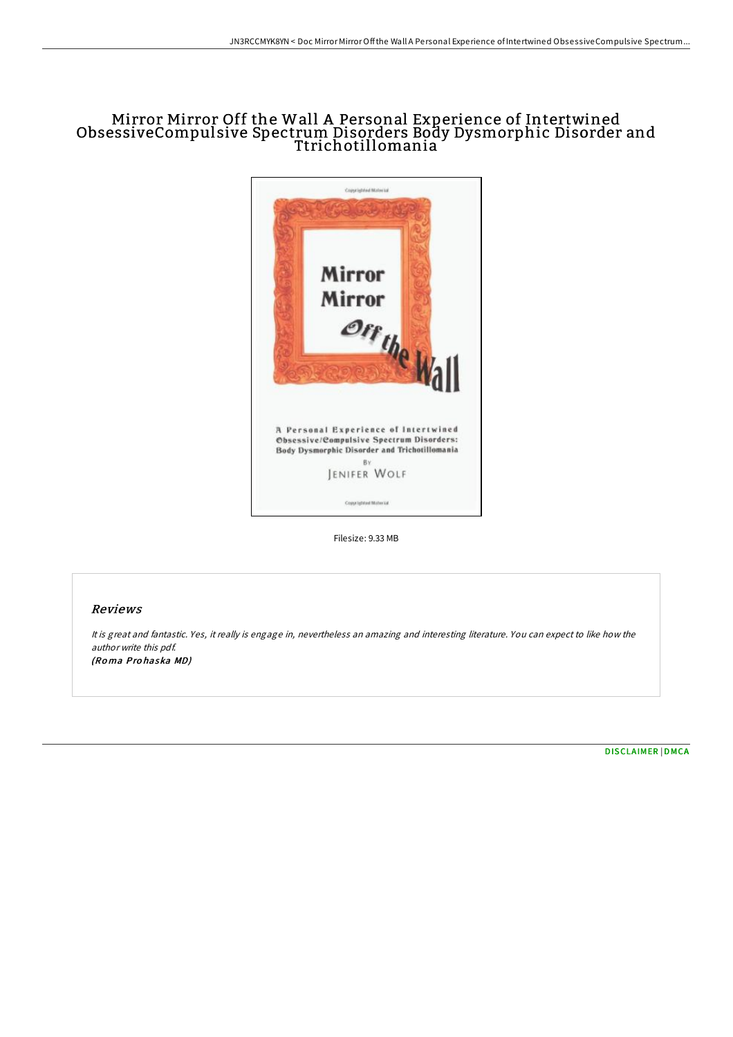## Mirror Mirror Off the Wall A Personal Experience of Intertwined ObsessiveCompulsive Spectrum Disorders Body Dysmorphic Disorder and Ttrichotillomania



Filesize: 9.33 MB

## Reviews

It is great and fantastic. Yes, it really is engage in, nevertheless an amazing and interesting literature. You can expect to like how the author write this pdf. (Ro ma Pro haska MD)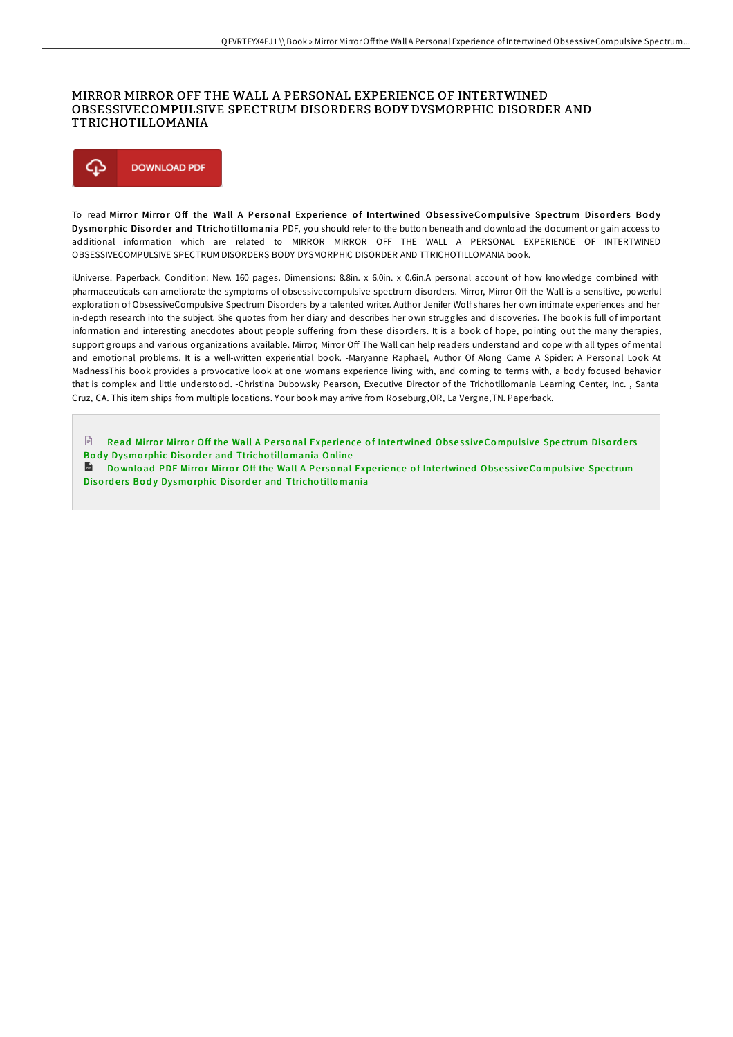## MIRROR MIRROR OFF THE WALL A PERSONAL EXPERIENCE OF INTERTWINED OBSESSIVECOMPULSIVE SPECTRUM DISORDERS BODY DYSMORPHIC DISORDER AND TTRICHOTILLOMANIA



To read Mirror Mirror Off the Wall A Personal Experience of Intertwined ObsessiveCompulsive Spectrum Disorders Body Dysmo rphic Disorder and Ttricho tillomania PDF, you should refer to the button beneath and download the document or gain access to additional information which are related to MIRROR MIRROR OFF THE WALL A PERSONAL EXPERIENCE OF INTERTWINED OBSESSIVECOMPULSIVE SPECTRUM DISORDERS BODY DYSMORPHIC DISORDER AND TTRICHOTILLOMANIA book.

iUniverse. Paperback. Condition: New. 160 pages. Dimensions: 8.8in. x 6.0in. x 0.6in.A personal account of how knowledge combined with pharmaceuticals can ameliorate the symptoms of obsessivecompulsive spectrum disorders. Mirror, Mirror Off the Wall is a sensitive, powerful exploration of ObsessiveCompulsive Spectrum Disorders by a talented writer. Author Jenifer Wolf shares her own intimate experiences and her in-depth research into the subject. She quotes from her diary and describes her own struggles and discoveries. The book is full of important information and interesting anecdotes about people suffering from these disorders. It is a book of hope, pointing out the many therapies, support groups and various organizations available. Mirror, Mirror Off The Wall can help readers understand and cope with all types of mental and emotional problems. It is a well-written experiential book. -Maryanne Raphael, Author Of Along Came A Spider: A Personal Look At MadnessThis book provides a provocative look at one womans experience living with, and coming to terms with, a body focused behavior that is complex and little understood. -Christina Dubowsky Pearson, Executive Director of the Trichotillomania Learning Center, Inc. , Santa Cruz, CA. This item ships from multiple locations. Your book may arrive from Roseburg,OR, La Vergne,TN. Paperback.

 $\mathbb{P}$ Read Mirror Mirror Off the Wall A Personal Experience of Inte[rtwined](http://almighty24.tech/mirror-mirror-off-the-wall-a-personal-experience.html) ObsessiveCompulsive Spectrum Disorders Body Dysmorphic Disorder and Ttrichotillomania Online

**Do** Download PDF Mirror Mirror Off the Wall A Personal Experience of Inte[rtwined](http://almighty24.tech/mirror-mirror-off-the-wall-a-personal-experience.html) ObsessiveCompulsive Spectrum Disorders Body Dysmorphic Disorder and Ttrichotillomania